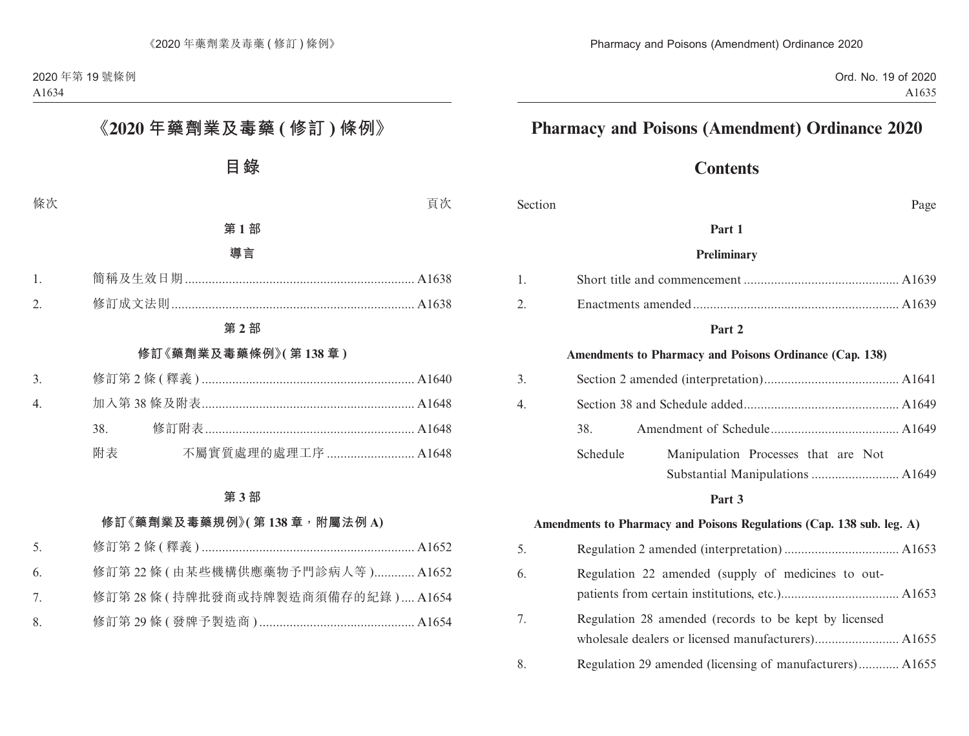Ord. No. 19 of 2020 A1635

# **Pharmacy and Poisons (Amendment) Ordinance 2020**

# **Contents**

Section Page

#### **Part 1**

#### **Preliminary**

#### **Part 2**

#### **Amendments to Pharmacy and Poisons Ordinance (Cap. 138)**

| 3. |          |                                     |  |
|----|----------|-------------------------------------|--|
| 4. |          |                                     |  |
|    | 38.      |                                     |  |
|    | Schedule | Manipulation Processes that are Not |  |
|    |          |                                     |  |

#### **Part 3**

#### **Amendments to Pharmacy and Poisons Regulations (Cap. 138 sub. leg. A)**

| 5. |                                                          |
|----|----------------------------------------------------------|
| 6. | Regulation 22 amended (supply of medicines to out-       |
| 7. | Regulation 28 amended (records to be kept by licensed    |
| 8. | Regulation 29 amended (licensing of manufacturers) A1655 |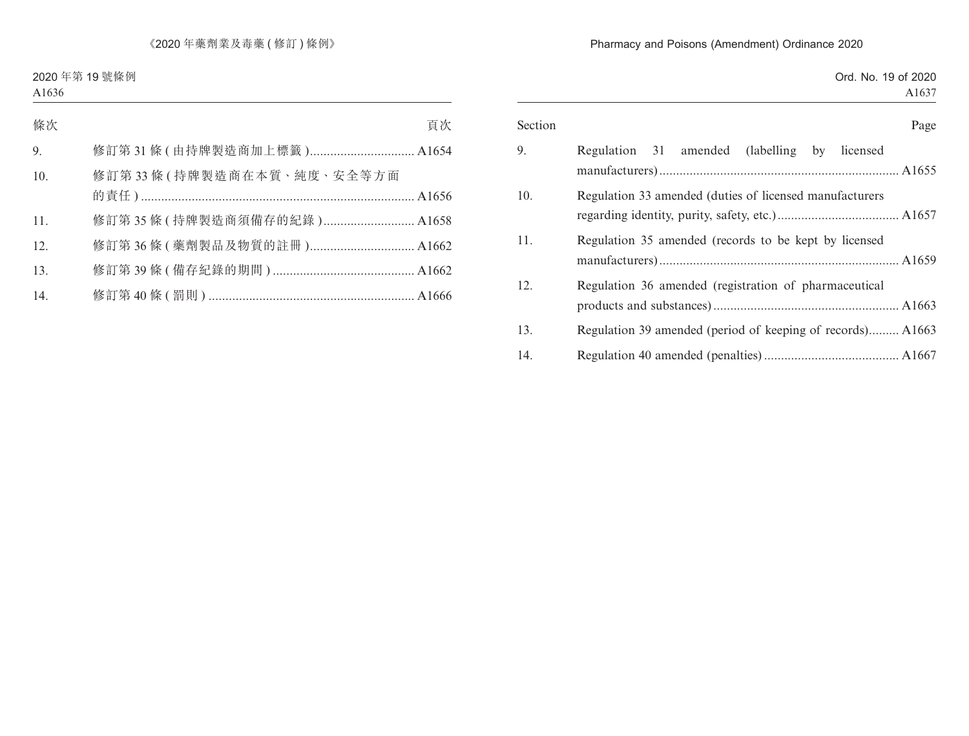### Pharmacy and Poisons (Amendment) Ordinance 2020

|  |  | Ord. No. 19 of 2020 |
|--|--|---------------------|
|  |  | A <sub>1637</sub>   |

| Section | Page                                                         |
|---------|--------------------------------------------------------------|
| 9.      | (labelling)<br>Regulation<br>amended<br>licensed<br>31<br>by |
| 10.     | Regulation 33 amended (duties of licensed manufacturers)     |
| 11.     | Regulation 35 amended (records to be kept by licensed        |
| 12.     | Regulation 36 amended (registration of pharmaceutical        |
| 13.     | Regulation 39 amended (period of keeping of records) A1663   |
| 14.     |                                                              |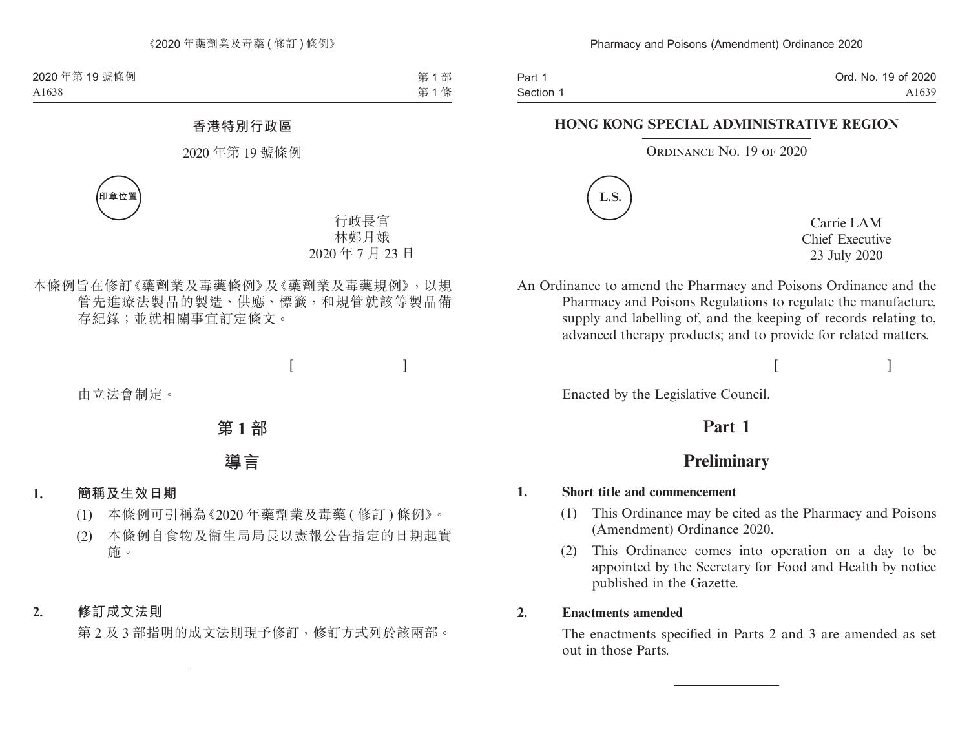Part 1 Section 1 Ord. No. 19 of 2020 A1639

### **HONG KONG SPECIAL ADMINISTRATIVE REGION**

ORDINANCE NO. 19 OF 2020



Carrie LAM Chief Executive 23 July 2020

An Ordinance to amend the Pharmacy and Poisons Ordinance and the Pharmacy and Poisons Regulations to regulate the manufacture, supply and labelling of, and the keeping of records relating to, advanced therapy products; and to provide for related matters.

 $[$ 

Enacted by the Legislative Council.

# **Part 1**

# **Preliminary**

### **1. Short title and commencement**

- (1) This Ordinance may be cited as the Pharmacy and Poisons (Amendment) Ordinance 2020.
- (2) This Ordinance comes into operation on a day to be appointed by the Secretary for Food and Health by notice published in the Gazette.

### **2. Enactments amended**

The enactments specified in Parts 2 and 3 are amended as set out in those Parts.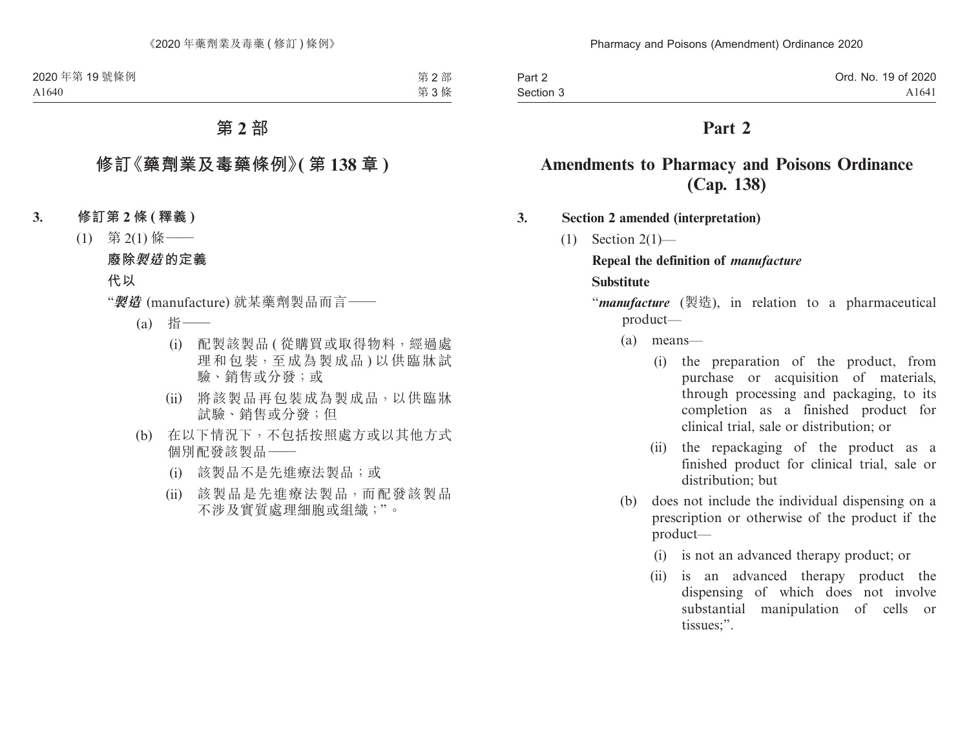| Part 2    | Ord. No. 19 of 2020 |
|-----------|---------------------|
| Section 3 | A <sub>1641</sub>   |

# **Part 2**

# **Amendments to Pharmacy and Poisons Ordinance (Cap. 138)**

#### **3. Section 2 amended (interpretation)**

(1) Section 2(1)—

# **Repeal the definition of** *manufacture* **Substitute**

- "*manufacture* (製造), in relation to a pharmaceutical product—
	- (a) means—
		- (i) the preparation of the product, from purchase or acquisition of materials, through processing and packaging, to its completion as a finished product for clinical trial, sale or distribution; or
		- (ii) the repackaging of the product as a finished product for clinical trial, sale or distribution; but
	- (b) does not include the individual dispensing on a prescription or otherwise of the product if the product—
		- (i) is not an advanced therapy product; or
		- (ii) is an advanced therapy product the dispensing of which does not involve substantial manipulation of cells or tissues;".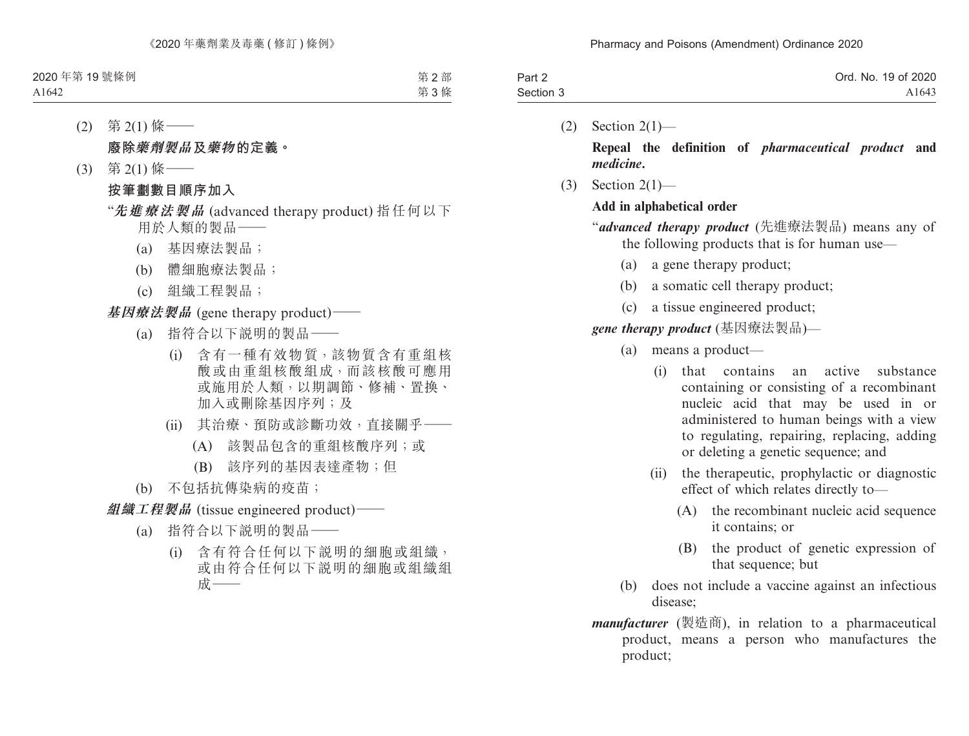| Part 2    | Ord. No. 19 of 2020 |
|-----------|---------------------|
| Section 3 | A1643               |

 $(2)$  Section  $2(1)$ —

**Repeal the definition of** *pharmaceutical product* **and** *medicine***.**

(3) Section 2(1)—

### **Add in alphabetical order**

- "*advanced therapy product* (先進療法製品) means any of the following products that is for human use—
	- (a) a gene therapy product;
	- (b) a somatic cell therapy product;
	- (c) a tissue engineered product;

*gene therapy product* (基因療法製品)—

- (a) means a product—
	- (i) that contains an active substance containing or consisting of a recombinant nucleic acid that may be used in or administered to human beings with a view to regulating, repairing, replacing, adding or deleting a genetic sequence; and
	- (ii) the therapeutic, prophylactic or diagnostic effect of which relates directly to—
		- (A) the recombinant nucleic acid sequence it contains; or
		- (B) the product of genetic expression of that sequence; but
- (b) does not include a vaccine against an infectious disease;
- *manufacturer* (製造商), in relation to a pharmaceutical product, means a person who manufactures the product;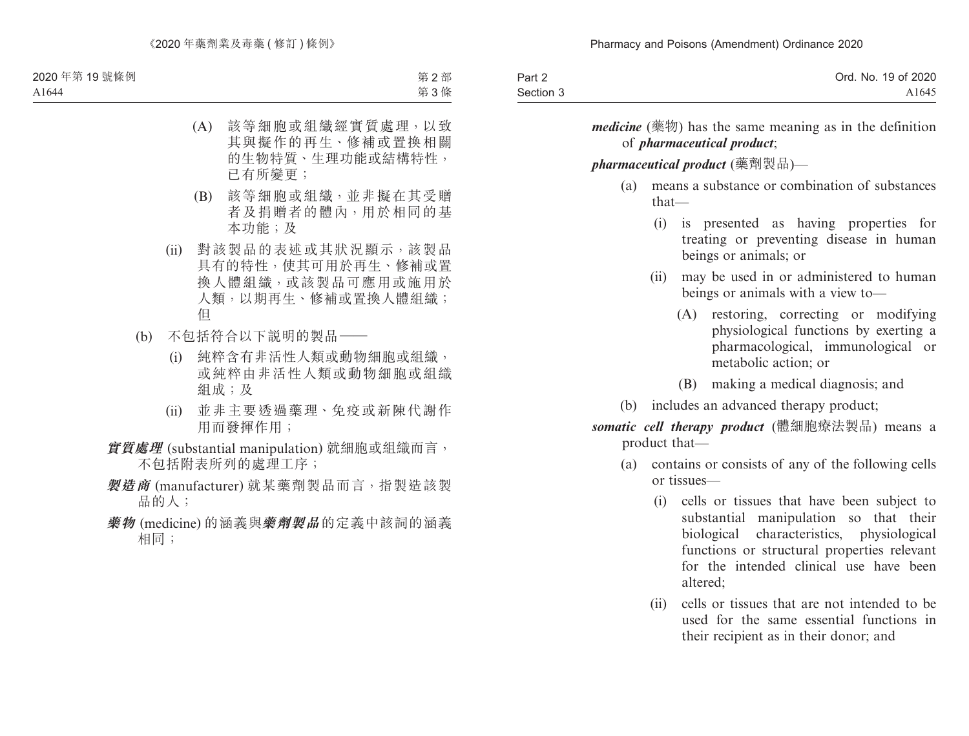| Part 2    | Ord. No. 19 of 2020 |
|-----------|---------------------|
| Section 3 | A <sub>1645</sub>   |

*medicine* (藥物) has the same meaning as in the definition of *pharmaceutical product*;

#### *pharmaceutical product* (藥劑製品)—

- (a) means a substance or combination of substances that—
	- (i) is presented as having properties for treating or preventing disease in human beings or animals; or
	- (ii) may be used in or administered to human beings or animals with a view to—
		- (A) restoring, correcting or modifying physiological functions by exerting a pharmacological, immunological or metabolic action; or
		- (B) making a medical diagnosis; and
- (b) includes an advanced therapy product;

*somatic cell therapy product* (體細胞療法製品) means a product that—

- (a) contains or consists of any of the following cells or tissues—
	- (i) cells or tissues that have been subject to substantial manipulation so that their biological characteristics, physiological functions or structural properties relevant for the intended clinical use have been altered;
	- (ii) cells or tissues that are not intended to be used for the same essential functions in their recipient as in their donor; and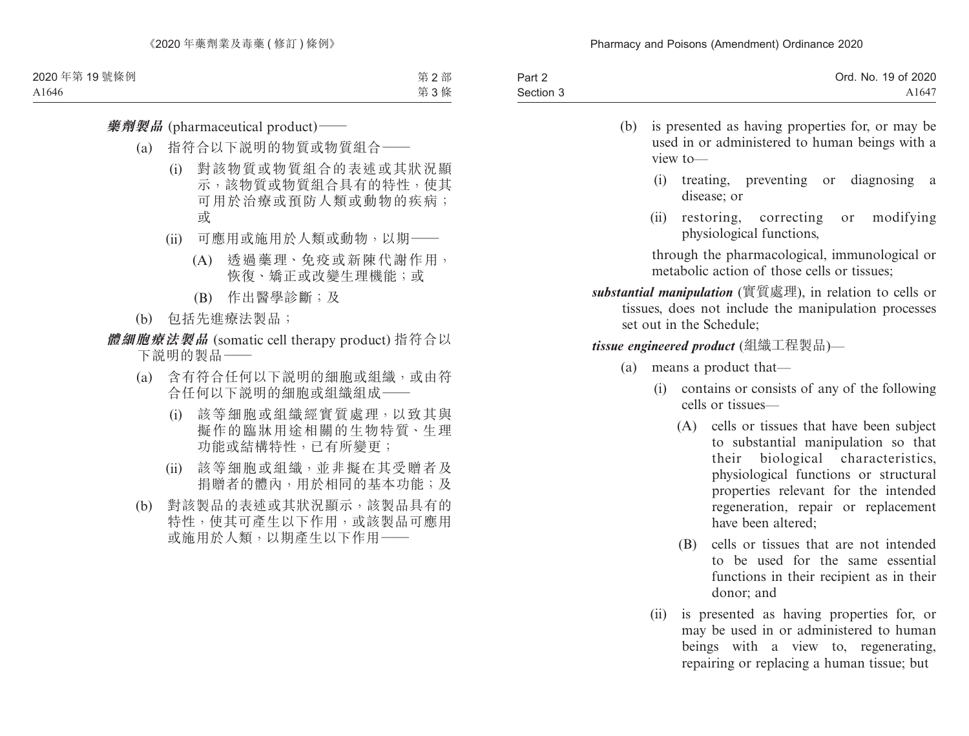| Part 2    | Ord. No. 19 of 2020 |
|-----------|---------------------|
| Section 3 | A1647               |

- (b) is presented as having properties for, or may be used in or administered to human beings with a view to—
	- (i) treating, preventing or diagnosing a disease; or
	- (ii) restoring, correcting or modifying physiological functions,

through the pharmacological, immunological or metabolic action of those cells or tissues;

*substantial manipulation* (實質處理), in relation to cells or tissues, does not include the manipulation processes set out in the Schedule;

*tissue engineered product* (組織工程製品)—

- (a) means a product that—
	- (i) contains or consists of any of the following cells or tissues—
		- (A) cells or tissues that have been subject to substantial manipulation so that their biological characteristics, physiological functions or structural properties relevant for the intended regeneration, repair or replacement have been altered;
		- (B) cells or tissues that are not intended to be used for the same essential functions in their recipient as in their donor; and
	- (ii) is presented as having properties for, or may be used in or administered to human beings with a view to, regenerating, repairing or replacing a human tissue; but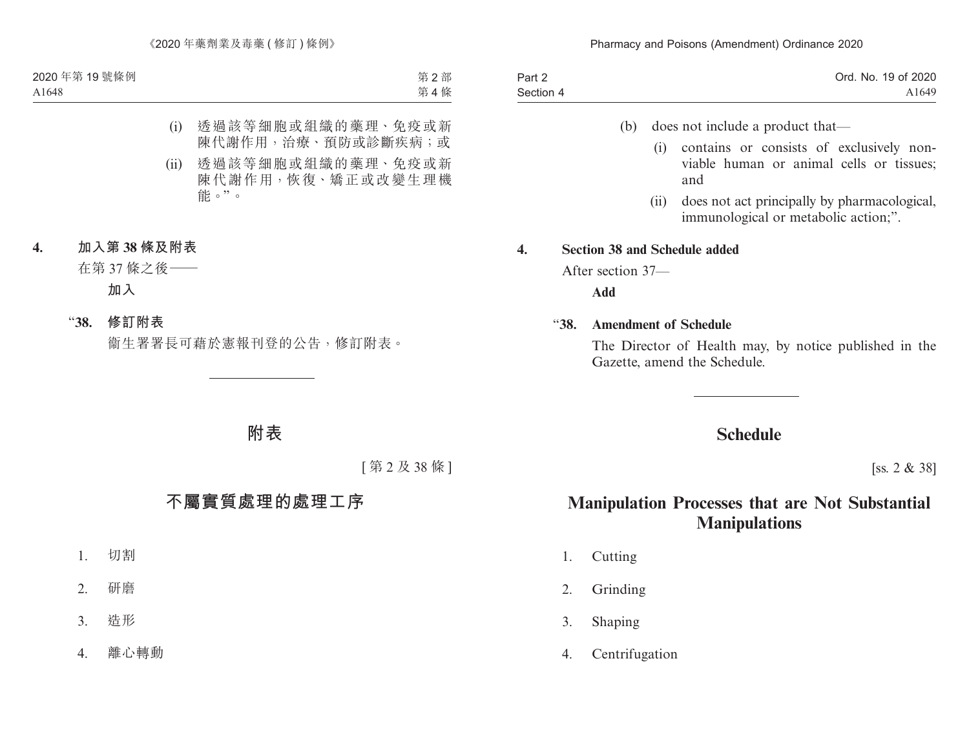#### Pharmacy and Poisons (Amendment) Ordinance 2020

| Part 2    | Ord. No. 19 of 2020 |
|-----------|---------------------|
| Section 4 | A1649               |

- (b) does not include a product that—
	- (i) contains or consists of exclusively nonviable human or animal cells or tissues; and
	- (ii) does not act principally by pharmacological, immunological or metabolic action:".

#### **4. Section 38 and Schedule added**

After section 37—

**Add**

#### "**38. Amendment of Schedule**

The Director of Health may, by notice published in the Gazette, amend the Schedule.

# **Schedule**

[ss. 2 & 38]

# **Manipulation Processes that are Not Substantial Manipulations**

- 1. Cutting
- 2. Grinding
- 3. Shaping
- 4. Centrifugation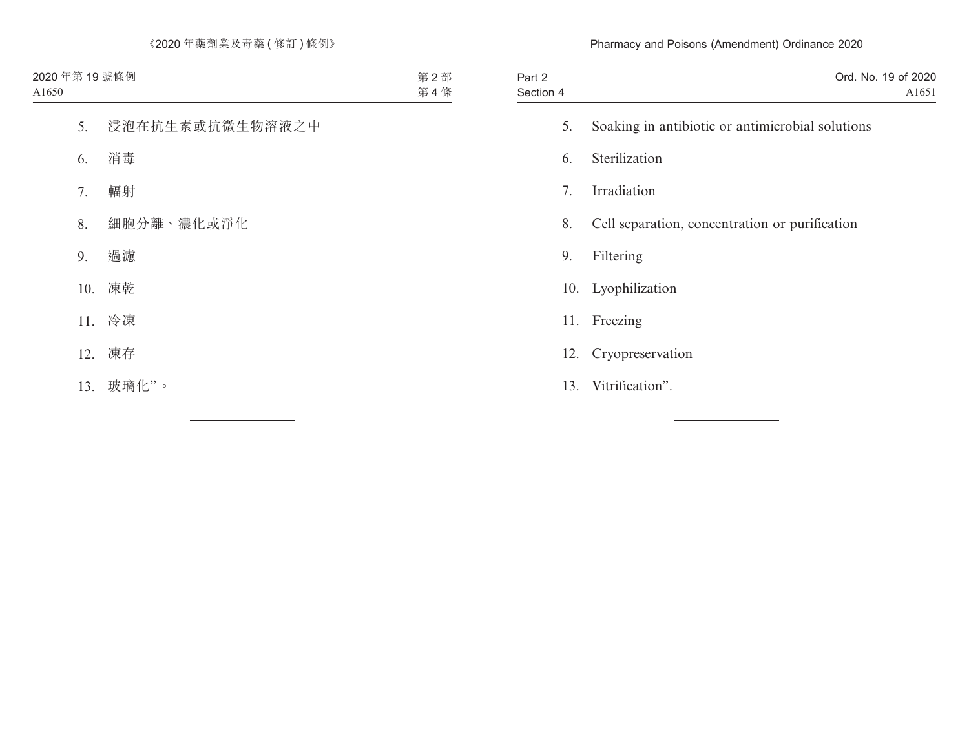#### Pharmacy and Poisons (Amendment) Ordinance 2020

| Part 2    | Ord. No. 19 of 2020 |
|-----------|---------------------|
| Section 4 | A <sub>1651</sub>   |

- 5. Soaking in antibiotic or antimicrobial solutions
- 6. Sterilization
- 7. Irradiation
- 8. Cell separation, concentration or purification
- 9. Filtering
- 10. Lyophilization
- 11. Freezing
- 12. Cryopreservation
- 13. Vitrification".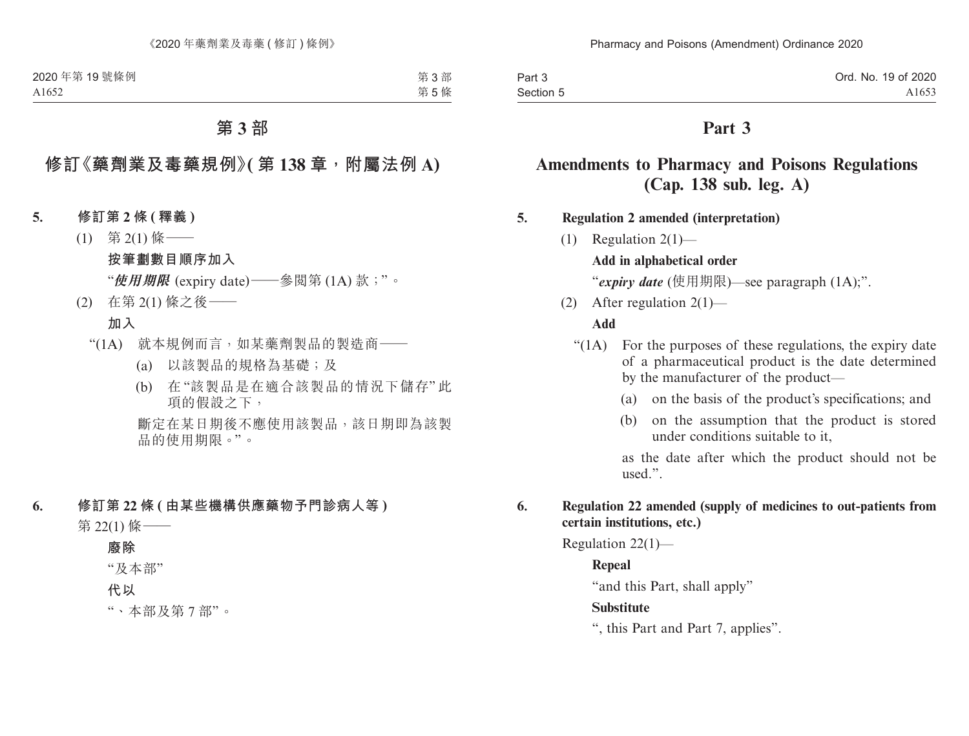| Part 3    | Ord. No. 19 of 2020 |
|-----------|---------------------|
| Section 5 | A <sub>1653</sub>   |

# **Part 3**

# **Amendments to Pharmacy and Poisons Regulations (Cap. 138 sub. leg. A)**

**5. Regulation 2 amended (interpretation)**

(1) Regulation 2(1)—

### **Add in alphabetical order**

"*expiry date* (使用期限)—see paragraph (1A);".

(2) After regulation 2(1)—

#### **Add**

- "(1A) For the purposes of these regulations, the expiry date of a pharmaceutical product is the date determined by the manufacturer of the product—
	- (a) on the basis of the product's specifications; and
	- (b) on the assumption that the product is stored under conditions suitable to it,

as the date after which the product should not be used.".

#### **6. Regulation 22 amended (supply of medicines to out-patients from certain institutions, etc.)**

Regulation 22(1)—

### **Repeal**

"and this Part, shall apply"

#### **Substitute**

", this Part and Part 7, applies".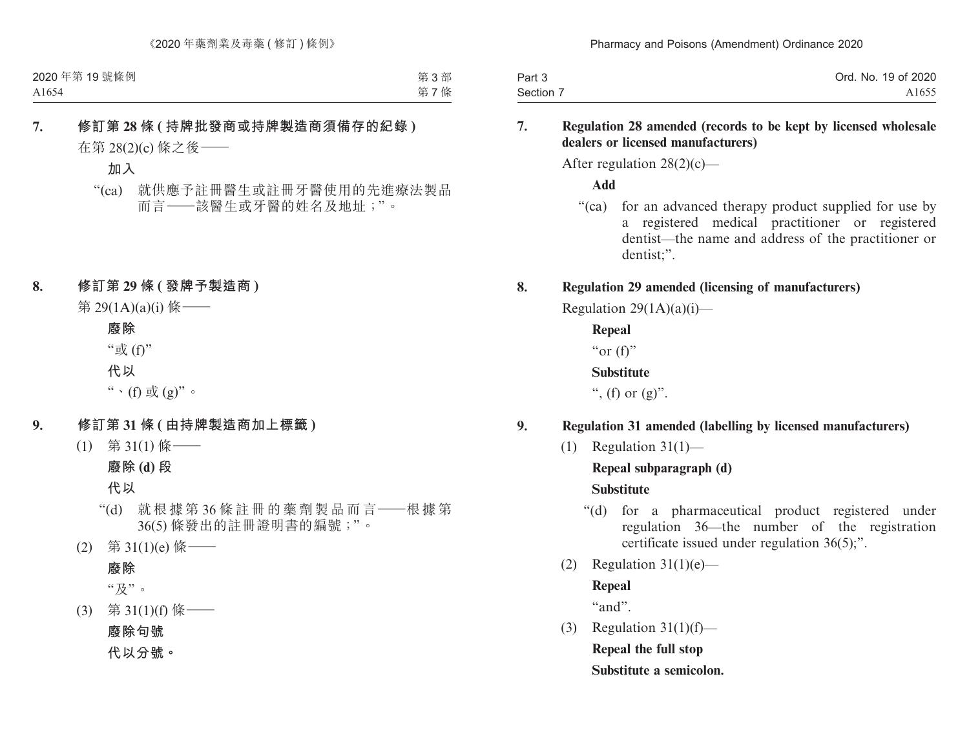| Part 3    | Ord. No. 19 of 2020 |
|-----------|---------------------|
| Section 7 | A <sub>1655</sub>   |

#### **7. Regulation 28 amended (records to be kept by licensed wholesale dealers or licensed manufacturers)**

After regulation 28(2)(c)—

**Add**

"(ca) for an advanced therapy product supplied for use by a registered medical practitioner or registered dentist—the name and address of the practitioner or dentist;".

### **8. Regulation 29 amended (licensing of manufacturers)**

Regulation  $29(1A)(a)(i)$ —

**Repeal** "or  $(f)$ "

**Substitute**

", (f) or  $(g)$ ".

# **9. Regulation 31 amended (labelling by licensed manufacturers)**

(1) Regulation  $31(1)$ —

**Repeal subparagraph (d)**

**Substitute**

- "(d) for a pharmaceutical product registered under regulation 36—the number of the registration certificate issued under regulation 36(5);".
- (2) Regulation  $31(1)(e)$ —

### **Repeal**

"and".

(3) Regulation  $31(1)(f)$ — **Repeal the full stop Substitute a semicolon.**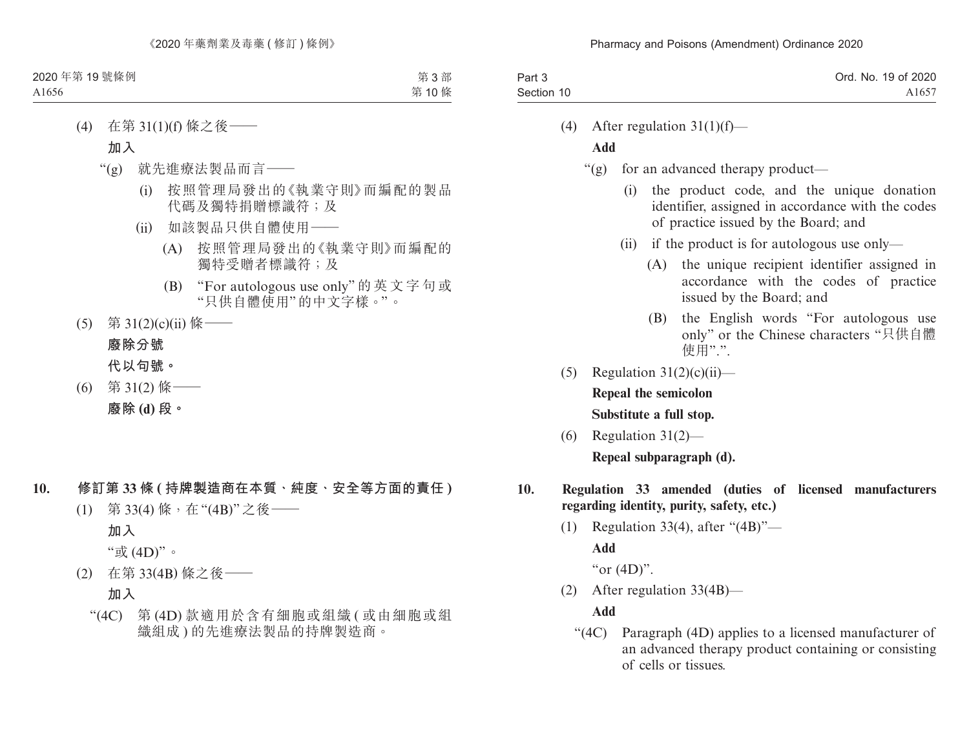| Part 3     | Ord. No. 19 of 2020 |
|------------|---------------------|
| Section 10 | A1657               |

(4) After regulation  $31(1)(f)$ —

# **Add**

- "(g) for an advanced therapy product—
	- (i) the product code, and the unique donation identifier, assigned in accordance with the codes of practice issued by the Board; and
	- (ii) if the product is for autologous use only—
		- (A) the unique recipient identifier assigned in accordance with the codes of practice issued by the Board; and
		- (B) the English words "For autologous use only" or the Chinese characters "只供自體 使用".".
- (5) Regulation  $31(2)(c)(ii)$  **Repeal the semicolon Substitute a full stop.**
- (6) Regulation 31(2)—

**Repeal subparagraph (d).**

- **10. Regulation 33 amended (duties of licensed manufacturers regarding identity, purity, safety, etc.)**
	- (1) Regulation 33(4), after "(4B)"— **Add**

"or  $(4D)$ ".

(2) After regulation 33(4B)—

# **Add**

"(4C) Paragraph (4D) applies to a licensed manufacturer of an advanced therapy product containing or consisting of cells or tissues.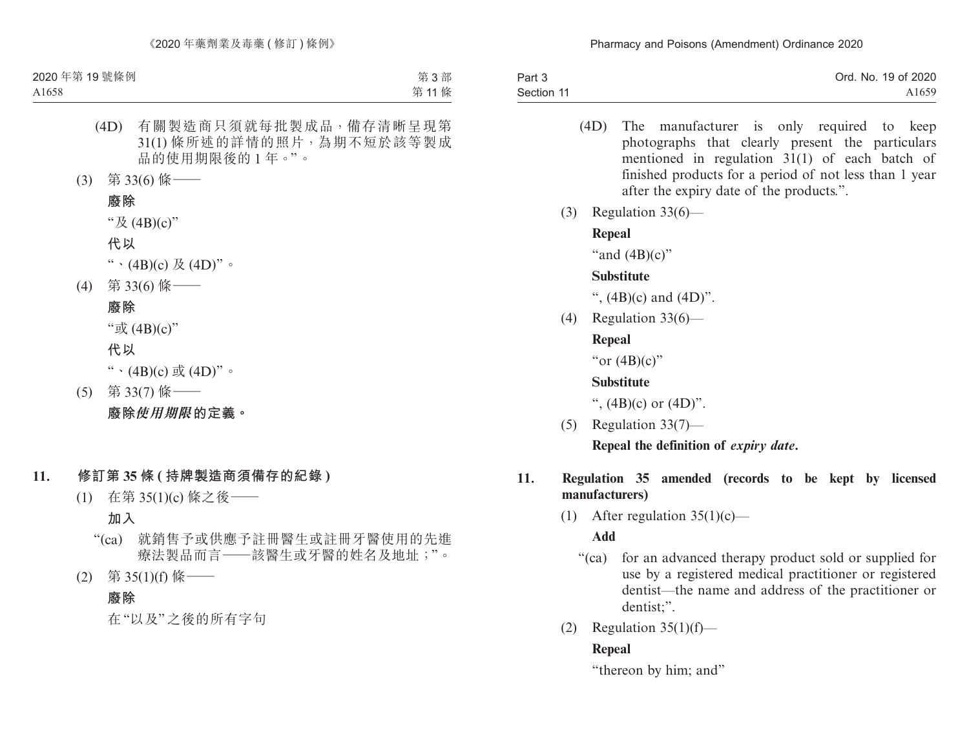| Part 3     | Ord. No. 19 of 2020 |
|------------|---------------------|
| Section 11 | A <sub>1659</sub>   |

- (4D) The manufacturer is only required to keep photographs that clearly present the particulars mentioned in regulation 31(1) of each batch of finished products for a period of not less than 1 year after the expiry date of the products.".
- (3) Regulation 33(6)—

### **Repeal**

"and  $(4B)(c)$ "

### **Substitute**

",  $(4B)(c)$  and  $(4D)$ ".

(4) Regulation 33(6)—

# **Repeal**

"or  $(4B)(c)$ "

### **Substitute**

",  $(4B)(c)$  or  $(4D)$ ".

(5) Regulation 33(7)—

**Repeal the definition of** *expiry date***.**

### **11. Regulation 35 amended (records to be kept by licensed manufacturers)**

(1) After regulation  $35(1)(c)$ —

# **Add**

- "(ca) for an advanced therapy product sold or supplied for use by a registered medical practitioner or registered dentist—the name and address of the practitioner or dentist;".
- (2) Regulation  $35(1)(f)$ —

# **Repeal**

"thereon by him; and"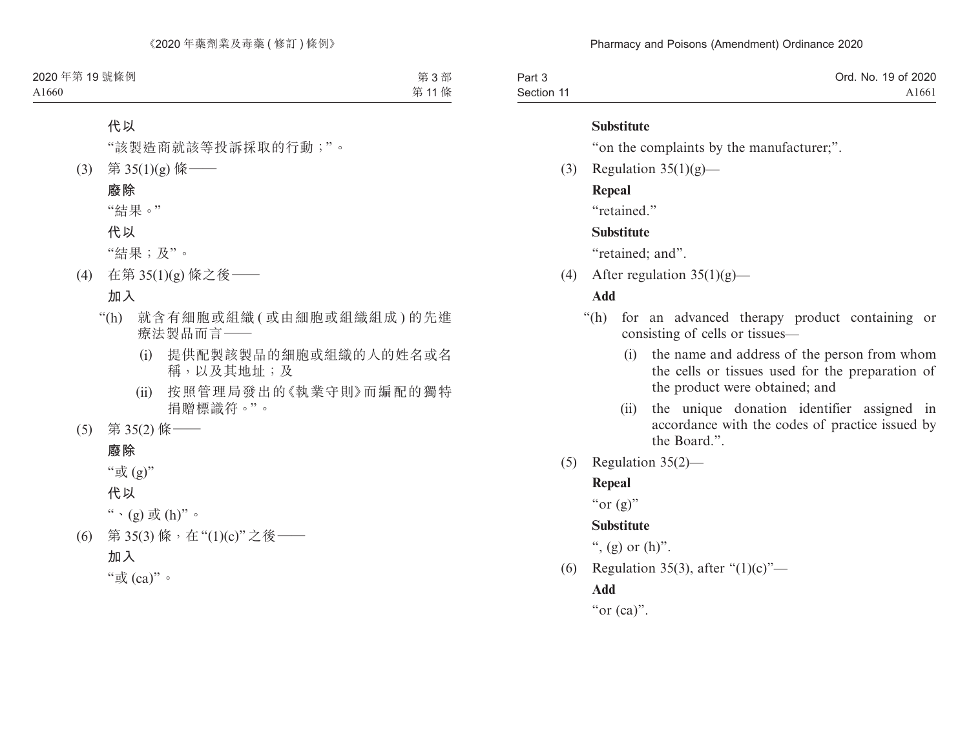| Part 3     | Ord. No. 19 of 2020 |
|------------|---------------------|
| Section 11 | A1661               |

#### **Substitute**

"on the complaints by the manufacturer;".

(3) Regulation  $35(1)(g)$ —

### **Repeal**

"retained."

### **Substitute**

"retained: and".

(4) After regulation  $35(1)(g)$ —

# **Add**

- "(h) for an advanced therapy product containing or consisting of cells or tissues—
	- (i) the name and address of the person from whom the cells or tissues used for the preparation of the product were obtained; and
	- (ii) the unique donation identifier assigned in accordance with the codes of practice issued by the Board.".
- (5) Regulation 35(2)—

# **Repeal**

"or  $(g)$ "

# **Substitute**

", (g) or  $(h)$ ".

(6) Regulation 35(3), after "(1)(c)"—

# **Add**

"or (ca)".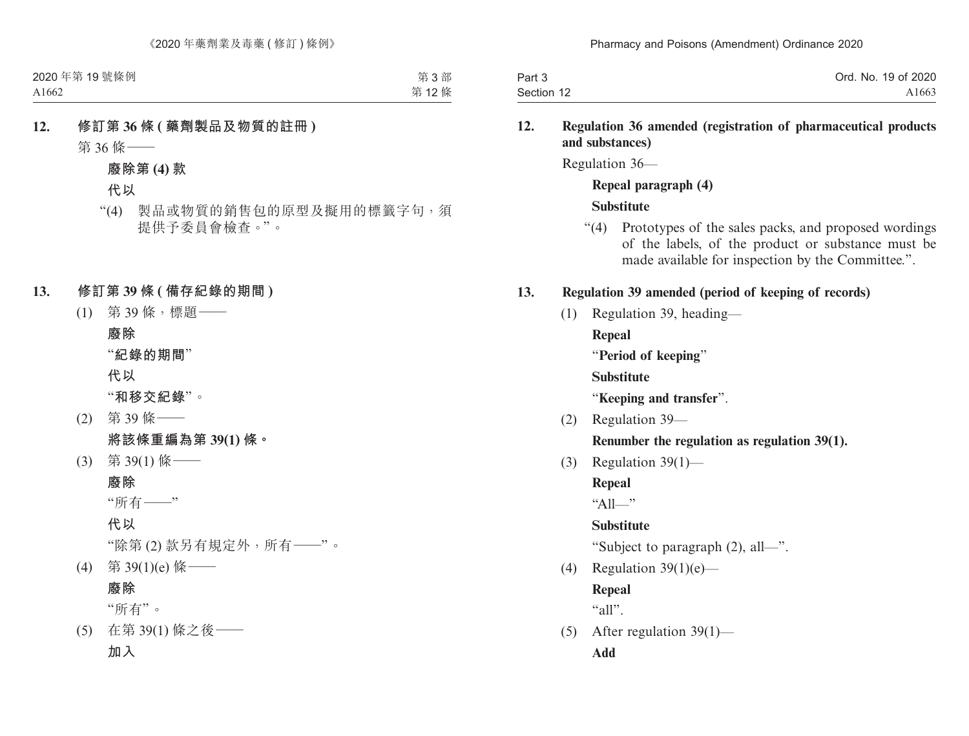| Part 3     | Ord. No. 19 of 2020 |
|------------|---------------------|
| Section 12 | A1663               |

### **12. Regulation 36 amended (registration of pharmaceutical products and substances)**

Regulation 36—

### **Repeal paragraph (4) Substitute**

"(4) Prototypes of the sales packs, and proposed wordings of the labels, of the product or substance must be made available for inspection by the Committee.".

### **13. Regulation 39 amended (period of keeping of records)**

(1) Regulation 39, heading—

**Repeal**

"**Period of keeping**"

**Substitute**

"**Keeping and transfer**".

(2) Regulation 39—

# **Renumber the regulation as regulation 39(1).**

(3) Regulation  $39(1)$ —

**Repeal**

 $"A11"$ 

# **Substitute**

"Subject to paragraph (2), all—".

(4) Regulation  $39(1)(e)$ —

**Repeal**

 $"all"$ .

(5) After regulation 39(1)— **Add**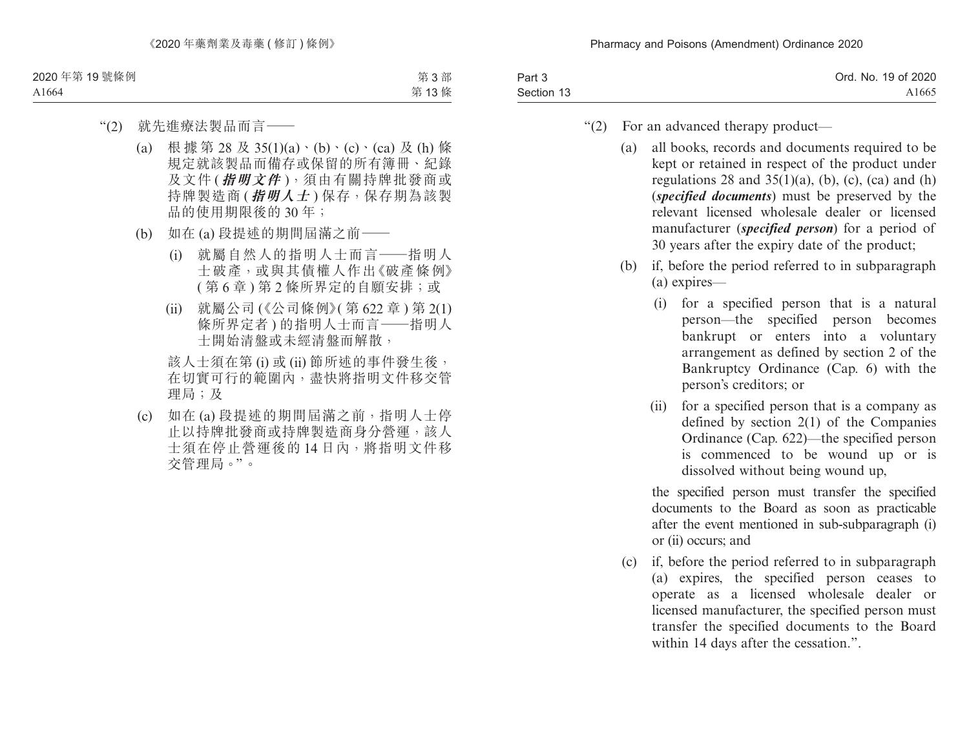| Part 3     | Ord. No. 19 of 2020 |
|------------|---------------------|
| Section 13 | A <sub>1665</sub>   |

- "(2) For an advanced therapy product—
	- (a) all books, records and documents required to be kept or retained in respect of the product under regulations 28 and  $35(1)(a)$ , (b), (c), (ca) and (h) (*specified documents*) must be preserved by the relevant licensed wholesale dealer or licensed manufacturer (*specified person*) for a period of 30 years after the expiry date of the product;
	- (b) if, before the period referred to in subparagraph (a) expires—
		- (i) for a specified person that is a natural person—the specified person becomes bankrupt or enters into a voluntary arrangement as defined by section 2 of the Bankruptcy Ordinance (Cap. 6) with the person's creditors; or
		- (ii) for a specified person that is a company as defined by section 2(1) of the Companies Ordinance (Cap. 622)—the specified person is commenced to be wound up or is dissolved without being wound up,

the specified person must transfer the specified documents to the Board as soon as practicable after the event mentioned in sub-subparagraph (i) or (ii) occurs; and

(c) if, before the period referred to in subparagraph (a) expires, the specified person ceases to operate as a licensed wholesale dealer or licensed manufacturer, the specified person must transfer the specified documents to the Board within 14 days after the cessation.".